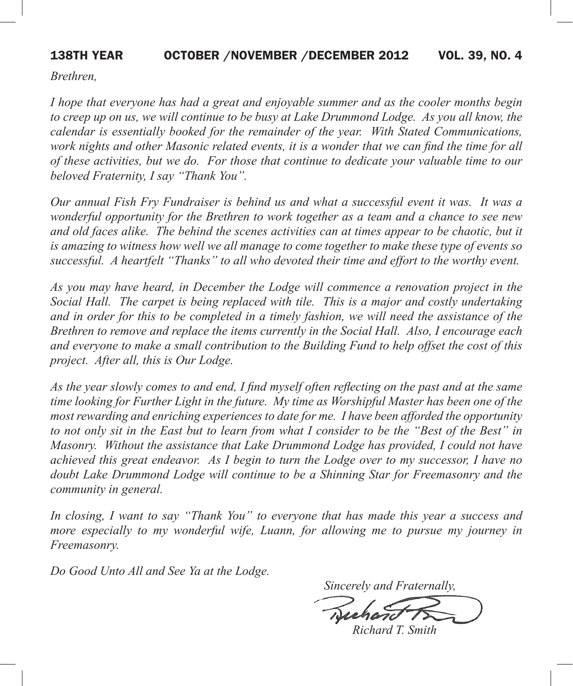### 138TH YEAR October /november /december 2012 VOL. 39, NO. 4

*Brethren,*

*I hope that everyone has had a great and enjoyable summer and as the cooler months begin to creep up on us, we will continue to be busy at Lake Drummond Lodge. As you all know, the calendar is essentially booked for the remainder of the year. With Stated Communications, work nights and other Masonic related events, it is a wonder that we can find the time for all of these activities, but we do. For those that continue to dedicate your valuable time to our beloved Fraternity, I say "Thank You".*

*Our annual Fish Fry Fundraiser is behind us and what a successful event it was. It was a wonderful opportunity for the Brethren to work together as a team and a chance to see new and old faces alike. The behind the scenes activities can at times appear to be chaotic, but it is amazing to witness how well we all manage to come together to make these type of events so successful. A heartfelt "Thanks" to all who devoted their time and effort to the worthy event.*

*As you may have heard, in December the Lodge will commence a renovation project in the Social Hall. The carpet is being replaced with tile. This is a major and costly undertaking and in order for this to be completed in a timely fashion, we will need the assistance of the Brethren to remove and replace the items currently in the Social Hall. Also, I encourage each and everyone to make a small contribution to the Building Fund to help offset the cost of this project. After all, this is Our Lodge.*

*As the year slowly comes to and end, I find myself often reflecting on the past and at the same time looking for Further Light in the future. My time as Worshipful Master has been one of the most rewarding and enriching experiences to date for me. I have been afforded the opportunity to not only sit in the East but to learn from what I consider to be the "Best of the Best" in Masonry. Without the assistance that Lake Drummond Lodge has provided, I could not have achieved this great endeavor. As I begin to turn the Lodge over to my successor, I have no doubt Lake Drummond Lodge will continue to be a Shinning Star for Freemasonry and the community in general.*

*In closing, I want to say "Thank You" to everyone that has made this year a success and more especially to my wonderful wife, Luann, for allowing me to pursue my journey in Freemasonry.*

*Do Good Unto All and See Ya at the Lodge.*

 *Sincerely and Fraternally,*

 *Richard T. Smith*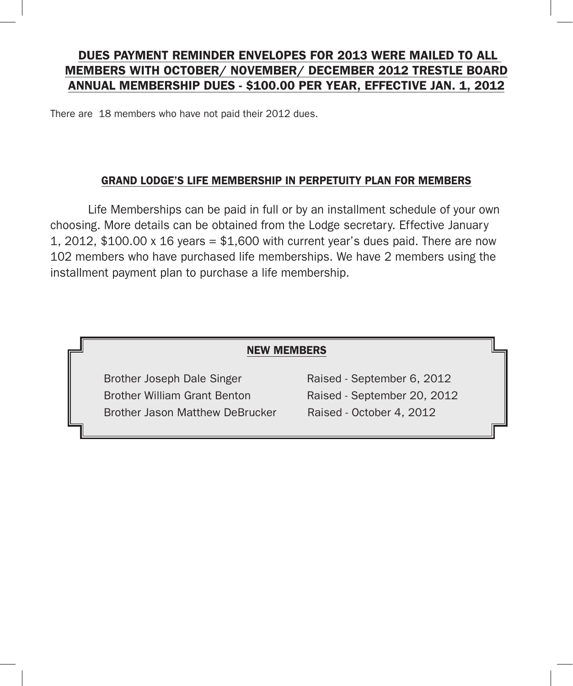## Dues payment reminder envelopes for 2013 were mailed to all members with October/ November/ December 2012 trestle board annual membership dues - \$100.00 PER YEAR, EFFECTIVE JAN. 1, 2012

There are 18 members who have not paid their 2012 dues.

#### Grand Lodge's life membership in perpetuity plan for members

Life Memberships can be paid in full or by an installment schedule of your own choosing. More details can be obtained from the Lodge secretary. Effective January 1, 2012,  $$100.00 \times 16 \text{ years} = $1,600 \text{ with current year's dues paid. There are now}$ 102 members who have purchased life memberships. We have 2 members using the installment payment plan to purchase a life membership.

#### New members

Brother Joseph Dale Singer Raised - September 6, 2012 Brother William Grant Benton Raised - September 20, 2012 Brother Jason Matthew DeBrucker Raised - October 4, 2012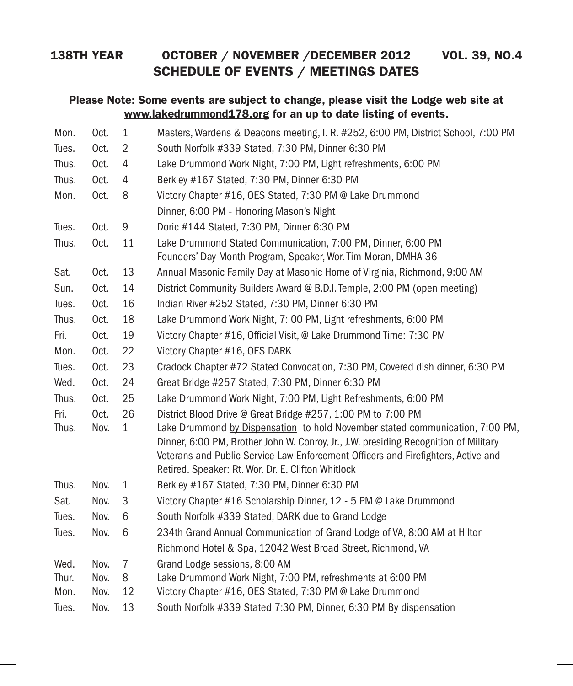## 138TH YEAR October / november /december 2012 VOL. 39, NO.4 SCHEDULE OF EVENTS / MEETINGS DATES

### Please Note: Some events are subject to change, please visit the Lodge web site at www.lakedrummond178.org for an up to date listing of events.

| Mon.          | Oct.         | $\mathbf{1}$     | Masters, Wardens & Deacons meeting, I. R. #252, 6:00 PM, District School, 7:00 PM                                      |  |
|---------------|--------------|------------------|------------------------------------------------------------------------------------------------------------------------|--|
| Tues.         | Oct.         | 2                | South Norfolk #339 Stated, 7:30 PM, Dinner 6:30 PM                                                                     |  |
| Thus.         | Oct.         | 4                | Lake Drummond Work Night, 7:00 PM, Light refreshments, 6:00 PM                                                         |  |
| Thus.         | Oct.         | 4                | Berkley #167 Stated, 7:30 PM, Dinner 6:30 PM                                                                           |  |
| Mon.          | Oct.         | 8                | Victory Chapter #16, OES Stated, 7:30 PM @ Lake Drummond                                                               |  |
|               |              |                  | Dinner, 6:00 PM - Honoring Mason's Night                                                                               |  |
| Tues.         | Oct.         | $\boldsymbol{9}$ | Doric #144 Stated, 7:30 PM, Dinner 6:30 PM                                                                             |  |
| Thus.         | Oct.         | 11               | Lake Drummond Stated Communication, 7:00 PM, Dinner, 6:00 PM                                                           |  |
|               |              |                  | Founders' Day Month Program, Speaker, Wor. Tim Moran, DMHA 36                                                          |  |
| Sat.          | Oct.         | 13               | Annual Masonic Family Day at Masonic Home of Virginia, Richmond, 9:00 AM                                               |  |
| Sun.          | Oct.         | 14               | District Community Builders Award @ B.D.I. Temple, 2:00 PM (open meeting)                                              |  |
| Tues.         | Oct.         | 16               | Indian River #252 Stated, 7:30 PM, Dinner 6:30 PM                                                                      |  |
| Thus.         | Oct.         | 18               | Lake Drummond Work Night, 7: 00 PM, Light refreshments, 6:00 PM                                                        |  |
| Fri.          | Oct.         | 19               | Victory Chapter #16, Official Visit, @ Lake Drummond Time: 7:30 PM                                                     |  |
| Mon.          | Oct.         | 22               | Victory Chapter #16, OES DARK                                                                                          |  |
| Tues.         | Oct.         | 23               | Cradock Chapter #72 Stated Convocation, 7:30 PM, Covered dish dinner, 6:30 PM                                          |  |
| Wed.          | Oct.         | 24               | Great Bridge #257 Stated, 7:30 PM, Dinner 6:30 PM                                                                      |  |
| Thus.         | Oct.         | 25               | Lake Drummond Work Night, 7:00 PM, Light Refreshments, 6:00 PM                                                         |  |
| Fri.          | Oct.         | 26               | District Blood Drive @ Great Bridge #257, 1:00 PM to 7:00 PM                                                           |  |
| Thus.         | Nov.         | $\mathbf{1}$     | Lake Drummond by Dispensation to hold November stated communication, 7:00 PM,                                          |  |
|               |              |                  | Dinner, 6:00 PM, Brother John W. Conroy, Jr., J.W. presiding Recognition of Military                                   |  |
|               |              |                  | Veterans and Public Service Law Enforcement Officers and Firefighters, Active and                                      |  |
| Thus.         | Nov.         | $\mathbf{1}$     | Retired. Speaker: Rt. Wor. Dr. E. Clifton Whitlock                                                                     |  |
|               |              |                  | Berkley #167 Stated, 7:30 PM, Dinner 6:30 PM                                                                           |  |
| Sat.          | Nov.         | 3                | Victory Chapter #16 Scholarship Dinner, 12 - 5 PM @ Lake Drummond                                                      |  |
| Tues.         | Nov.         | 6                | South Norfolk #339 Stated, DARK due to Grand Lodge                                                                     |  |
| Tues.         | Nov.         | 6                | 234th Grand Annual Communication of Grand Lodge of VA, 8:00 AM at Hilton                                               |  |
|               |              |                  | Richmond Hotel & Spa, 12042 West Broad Street, Richmond, VA                                                            |  |
| Wed.          | Nov.         | $\overline{7}$   | Grand Lodge sessions, 8:00 AM                                                                                          |  |
| Thur.<br>Mon. | Nov.<br>Nov. | 8<br>12          | Lake Drummond Work Night, 7:00 PM, refreshments at 6:00 PM<br>Victory Chapter #16, OES Stated, 7:30 PM @ Lake Drummond |  |
| Tues.         | Nov.         | 13               | South Norfolk #339 Stated 7:30 PM, Dinner, 6:30 PM By dispensation                                                     |  |
|               |              |                  |                                                                                                                        |  |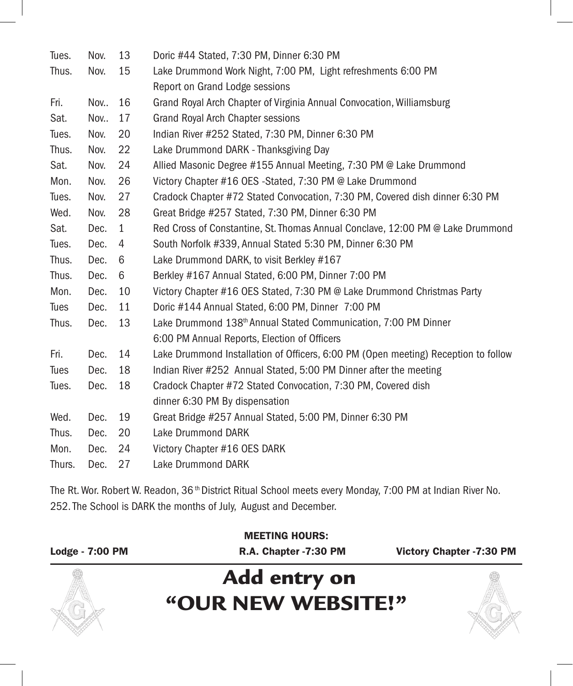| Tues.  | Nov. | 13           | Doric #44 Stated, 7:30 PM, Dinner 6:30 PM                                          |  |
|--------|------|--------------|------------------------------------------------------------------------------------|--|
| Thus.  | Nov. | 15           | Lake Drummond Work Night, 7:00 PM, Light refreshments 6:00 PM                      |  |
|        |      |              | Report on Grand Lodge sessions                                                     |  |
| Fri.   | Nov  | 16           | Grand Royal Arch Chapter of Virginia Annual Convocation, Williamsburg              |  |
| Sat.   | Nov  | 17           | Grand Royal Arch Chapter sessions                                                  |  |
| Tues.  | Nov. | 20           | Indian River #252 Stated, 7:30 PM, Dinner 6:30 PM                                  |  |
| Thus.  | Nov. | 22           | Lake Drummond DARK - Thanksgiving Day                                              |  |
| Sat.   | Nov. | 24           | Allied Masonic Degree #155 Annual Meeting, 7:30 PM @ Lake Drummond                 |  |
| Mon.   | Nov. | 26           | Victory Chapter #16 OES -Stated, 7:30 PM @ Lake Drummond                           |  |
| Tues.  | Nov. | 27           | Cradock Chapter #72 Stated Convocation, 7:30 PM, Covered dish dinner 6:30 PM       |  |
| Wed.   | Nov. | 28           | Great Bridge #257 Stated, 7:30 PM, Dinner 6:30 PM                                  |  |
| Sat.   | Dec. | $\mathbf{1}$ | Red Cross of Constantine, St. Thomas Annual Conclave, 12:00 PM @ Lake Drummond     |  |
| Tues.  | Dec. | 4            | South Norfolk #339, Annual Stated 5:30 PM, Dinner 6:30 PM                          |  |
| Thus.  | Dec. | 6            | Lake Drummond DARK, to visit Berkley #167                                          |  |
| Thus.  | Dec. | 6            | Berkley #167 Annual Stated, 6:00 PM, Dinner 7:00 PM                                |  |
| Mon.   | Dec. | 10           | Victory Chapter #16 OES Stated, 7:30 PM @ Lake Drummond Christmas Party            |  |
| Tues   | Dec. | 11           | Doric #144 Annual Stated, 6:00 PM, Dinner 7:00 PM                                  |  |
| Thus.  | Dec. | 13           | Lake Drummond 138 <sup>th</sup> Annual Stated Communication, 7:00 PM Dinner        |  |
|        |      |              | 6:00 PM Annual Reports, Election of Officers                                       |  |
| Fri.   | Dec. | 14           | Lake Drummond Installation of Officers, 6:00 PM (Open meeting) Reception to follow |  |
| Tues   | Dec. | 18           | Indian River #252 Annual Stated, 5:00 PM Dinner after the meeting                  |  |
| Tues.  | Dec. | 18           | Cradock Chapter #72 Stated Convocation, 7:30 PM, Covered dish                      |  |
|        |      |              | dinner 6:30 PM By dispensation                                                     |  |
| Wed.   | Dec. | 19           | Great Bridge #257 Annual Stated, 5:00 PM, Dinner 6:30 PM                           |  |
| Thus.  | Dec. | 20           | Lake Drummond DARK                                                                 |  |
| Mon.   | Dec. | 24           | Victory Chapter #16 OES DARK                                                       |  |
| Thurs. | Dec. | 27           | Lake Drummond DARK                                                                 |  |

The Rt. Wor. Robert W. Readon, 36<sup>th</sup> District Ritual School meets every Monday, 7:00 PM at Indian River No. 252. The School is DARK the months of July, August and December.

|                 | <b>MEETING HOURS:</b> |                                 |
|-----------------|-----------------------|---------------------------------|
| Lodge - 7:00 PM | R.A. Chapter -7:30 PM | <b>Victory Chapter -7:30 PM</b> |
|                 | <b>Add entry on</b>   |                                 |
|                 | "OUR NEW WEBSITE!"    |                                 |
|                 |                       |                                 |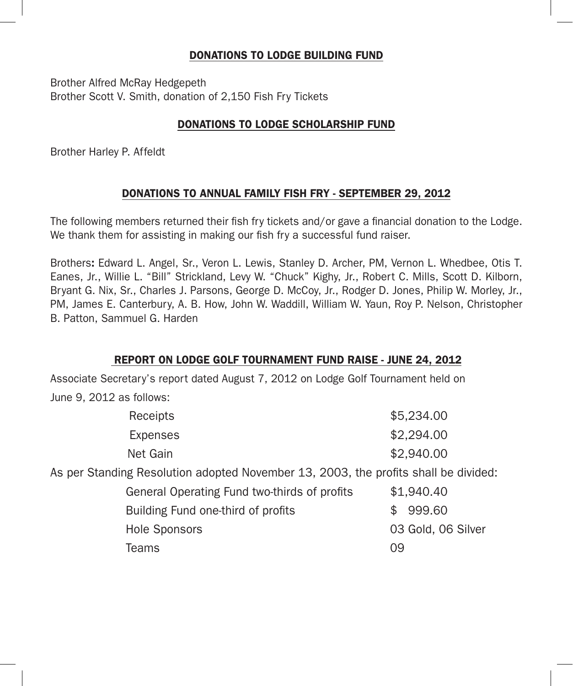#### Donations to Lodge building fund

Brother Alfred McRay Hedgepeth Brother Scott V. Smith, donation of 2,150 Fish Fry Tickets

#### Donations to Lodge Scholarship fund

Brother Harley P. Affeldt

#### Donations to annual family fish fry - September 29, 2012

The following members returned their fish fry tickets and/or gave a financial donation to the Lodge. We thank them for assisting in making our fish fry a successful fund raiser.

Brothers: Edward L. Angel, Sr., Veron L. Lewis, Stanley D. Archer, PM, Vernon L. Whedbee, Otis T. Eanes, Jr., Willie L. "Bill" Strickland, Levy W. "Chuck" Kighy, Jr., Robert C. Mills, Scott D. Kilborn, Bryant G. Nix, Sr., Charles J. Parsons, George D. McCoy, Jr., Rodger D. Jones, Philip W. Morley, Jr., PM, James E. Canterbury, A. B. How, John W. Waddill, William W. Yaun, Roy P. Nelson, Christopher B. Patton, Sammuel G. Harden

#### Report on lodge golf tournament fund raise - June 24, 2012

Associate Secretary's report dated August 7, 2012 on Lodge Golf Tournament held on June 9, 2012 as follows:

| Receipts                                                                            | \$5,234.00 |
|-------------------------------------------------------------------------------------|------------|
| Expenses                                                                            | \$2,294.00 |
| Net Gain                                                                            | \$2,940,00 |
| As per Standing Resolution adopted November 13, 2003, the profits shall be divided: |            |

| General Operating Fund two-thirds of profits | \$1,940.40         |
|----------------------------------------------|--------------------|
| Building Fund one-third of profits           | \$999.60           |
| Hole Sponsors                                | 03 Gold, 06 Silver |
| Teams                                        | 09                 |